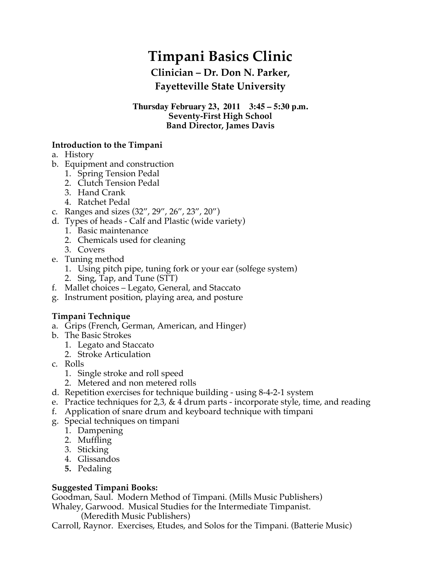# **Timpani Basics Clinic**

# **Clinician – Dr. Don N. Parker, Fayetteville State University**

#### **Thursday February 23, 2011 3:45 – 5:30 p.m. Seventy-First High School Band Director, James Davis**

## **Introduction to the Timpani**

- a. History
- b. Equipment and construction
	- 1. Spring Tension Pedal
	- 2. Clutch Tension Pedal
	- 3. Hand Crank
	- 4. Ratchet Pedal
- c. Ranges and sizes (32", 29", 26", 23", 20")
- d. Types of heads Calf and Plastic (wide variety)
	- 1. Basic maintenance
	- 2. Chemicals used for cleaning
	- 3. Covers
- e. Tuning method
	- 1. Using pitch pipe, tuning fork or your ear (solfege system)
	- 2. Sing, Tap, and Tune (STT)
- f. Mallet choices Legato, General, and Staccato
- g. Instrument position, playing area, and posture

## **Timpani Technique**

- a. Grips (French, German, American, and Hinger)
- b. The Basic Strokes
	- 1. Legato and Staccato
	- 2. Stroke Articulation
- c. Rolls
	- 1. Single stroke and roll speed
	- 2. Metered and non metered rolls
- d. Repetition exercises for technique building using 8-4-2-1 system
- e. Practice techniques for 2,3,  $& 4$  drum parts incorporate style, time, and reading
- f. Application of snare drum and keyboard technique with timpani
- g. Special techniques on timpani
	- 1. Dampening
	- 2. Muffling
	- 3. Sticking
	- 4. Glissandos
	- **5.** Pedaling

## **Suggested Timpani Books:**

Goodman, Saul. Modern Method of Timpani. (Mills Music Publishers) Whaley, Garwood. Musical Studies for the Intermediate Timpanist.

(Meredith Music Publishers)

Carroll, Raynor. Exercises, Etudes, and Solos for the Timpani. (Batterie Music)